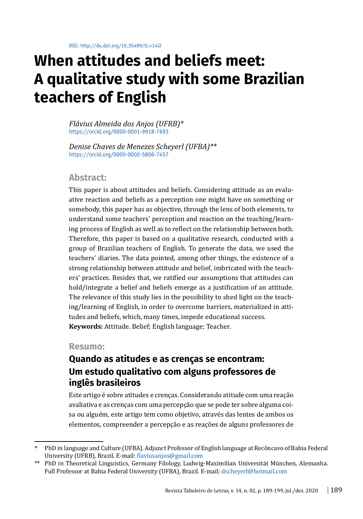# **When attitudes and beliefs meet: A qualitative study with some Brazilian teachers of English**

*Flávius Almeida dos Anjos (UFRB)\** <https://orcid.org/0000-0001-9918-7693>

*Denise Chaves de Menezes Scheyerl (UFBA)\*\** https://orcid.org/0000-0002-5806-7457

### **Abstract:**

This paper is about attitudes and beliefs. Considering attitude as an evaluative reaction and beliefs as a perception one might have on something or somebody, this paper has as objective, through the lens of both elements, to understand some teachers' perception and reaction on the teaching/learning process of English as well as to reflect on the relationship between both. Therefore, this paper is based on a qualitative research, conducted with a group of Brazilian teachers of English. To generate the data, we used the teachers' diaries. The data pointed, among other things, the existence of a strong relationship between attitude and belief, imbricated with the teachers' practices. Besides that, we ratified our assumptions that attitudes can hold/integrate a belief and beliefs emerge as a justification of an attitude. The relevance of this study lies in the possibility to shed light on the teaching/learning of English, in order to overcome barriers, materialized in attitudes and beliefs, which, many times, impede educational success. **Keywords:** Attitude. Belief; English language; Teacher.

#### **Resumo:**

# **Quando as atitudes e as crenças se encontram: Um estudo qualitativo com alguns professores de inglês brasileiros**

Este artigo é sobre atitudes e crenças. Considerando atitude com uma reação avaliativa e as crenças com uma percepção que se pode ter sobre alguma coisa ou alguém, este artigo tem como objetivo, através das lentes de ambos os elementos, compreender a percepção e as reações de alguns professores de

<sup>\*</sup> PhD in language and Culture (UFBA). Adjunct Professor of English language at Recôncavo of Bahia Federal University (UFRB), Brazil. E-mail: [flaviusanjos@gmail.com](mailto:flaviusanjos@gmail.com)

<sup>\*\*</sup> PhD in Theoretical Linguistics, Germany Filology, Ludwig-Maximilian Universität München, Alemanha. Full Professor at Bahia Federal University (UFBA), Brazil. E-mail: dscheyerl@hotmail.com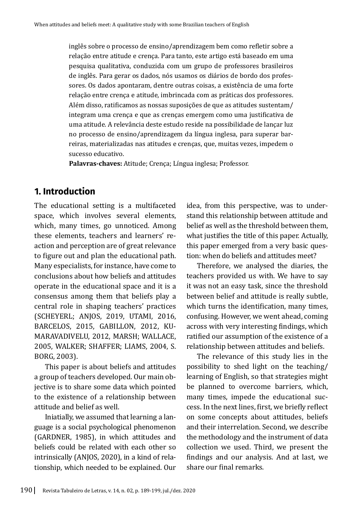inglês sobre o processo de ensino/aprendizagem bem como refletir sobre a relação entre atitude e crença. Para tanto, este artigo está baseado em uma pesquisa qualitativa, conduzida com um grupo de professores brasileiros de inglês. Para gerar os dados, nós usamos os diários de bordo dos professores. Os dados apontaram, dentre outras coisas, a existência de uma forte relação entre crença e atitude, imbrincada com as práticas dos professores. Além disso, ratificamos as nossas suposições de que as atitudes sustentam/ integram uma crença e que as crenças emergem como uma justificativa de uma atitude. A relevância deste estudo reside na possibilidade de lançar luz no processo de ensino/aprendizagem da língua inglesa, para superar barreiras, materializadas nas atitudes e crenças, que, muitas vezes, impedem o sucesso educativo.

**Palavras-chaves:** Atitude; Crença; Língua inglesa; Professor.

# **1. Introduction**

The educational setting is a multifaceted space, which involves several elements, which, many times, go unnoticed. Among these elements, teachers and learners' reaction and perception are of great relevance to figure out and plan the educational path. Many especialists, for instance, have come to conclusions about how beliefs and attitudes operate in the educational space and it is a consensus among them that beliefs play a central role in shaping teachers' practices (SCHEYERL; ANJOS, 2019, UTAMI, 2016, BARCELOS, 2015, GABILLON, 2012, KU-MARAVADIVELU, 2012, MARSH; WALLACE, 2005, WALKER; SHAFFER; LIAMS, 2004, S. BORG, 2003).

This paper is about beliefs and attitudes a group of teachers developed. Our main objective is to share some data which pointed to the existence of a relationship between attitude and belief as well.

Iniatially, we assumed that learning a language is a social psychological phenomenon (GARDNER, 1985), in which attitudes and beliefs could be related with each other so intrinsically (ANJOS, 2020), in a kind of relationship, which needed to be explained. Our idea, from this perspective, was to understand this relationship between attitude and belief as well as the threshold between them, what justifies the title of this paper. Actually, this paper emerged from a very basic question: when do beliefs and attitudes meet?

Therefore, we analysed the diaries, the teachers provided us with. We have to say it was not an easy task, since the threshold between belief and attitude is really subtle, which turns the identification, many times, confusing. However, we went ahead, coming across with very interesting findings, which ratified our assumption of the existence of a relationship between attitudes and beliefs.

The relevance of this study lies in the possibility to shed light on the teaching/ learning of English, so that strategies might be planned to overcome barriers, which, many times, impede the educational success. In the next lines, first, we briefly reflect on some concepts about attitudes, beliefs and their interrelation. Second, we describe the methodology and the instrument of data collection we used. Third, we present the findings and our analysis. And at last, we share our final remarks.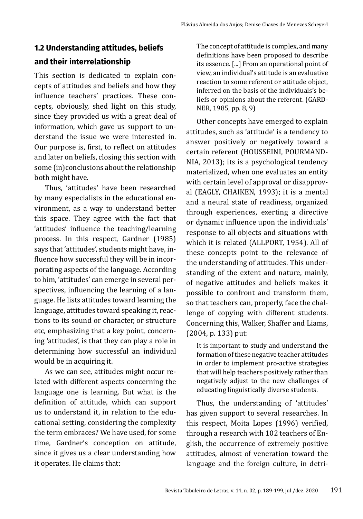# **1.2 Understanding attitudes, beliefs and their interrelationship**

This section is dedicated to explain concepts of attitudes and beliefs and how they influence teachers' practices. These concepts, obviously, shed light on this study, since they provided us with a great deal of information, which gave us support to understand the issue we were interested in. Our purpose is, first, to reflect on attitudes and later on beliefs, closing this section with some (in)conclusions about the relationship both might have.

Thus, 'attitudes' have been researched by many especialists in the educational environment, as a way to understand better this space. They agree with the fact that 'attitudes' influence the teaching/learning process. In this respect, Gardner (1985) says that 'attitudes', students might have, influence how successful they will be in incorporating aspects of the language. According to him, 'attitudes' can emerge in several perspectives, influencing the learning of a language. He lists attitudes toward learning the language, attitudes toward speaking it, reactions to its sound or character, or structure etc, emphasizing that a key point, concerning 'attitudes', is that they can play a role in determining how successful an individual would be in acquiring it.

As we can see, attitudes might occur related with different aspects concerning the language one is learning. But what is the definition of attitude, which can support us to understand it, in relation to the educational setting, considering the complexity the term embraces? We have used, for some time, Gardner's conception on attitude, since it gives us a clear understanding how it operates. He claims that:

The concept of attitude is complex, and many definitions have been proposed to describe its essence. [...] From an operational point of view, an individual's attitude is an evaluative reaction to some referent or attitude object, inferred on the basis of the individuals's beliefs or opinions about the referent. (GARD-NER, 1985, pp. 8, 9)

Other concepts have emerged to explain attitudes, such as 'attitude' is a tendency to answer positively or negatively toward a certain referent (HOUSSEINI, POURMAND-NIA, 2013); its is a psychological tendency materialized, when one evaluates an entity with certain level of approval or disapproval (EAGLY, CHAIKEN, 1993); it is a mental and a neural state of readiness, organized through experiences, exerting a directive or dynamic influence upon the individuals' response to all objects and situations with which it is related (ALLPORT, 1954). All of these concepts point to the relevance of the understanding of attitudes. This understanding of the extent and nature, mainly, of negative attitudes and beliefs makes it possible to confront and transform them, so that teachers can, properly, face the challenge of copying with different students. Concerning this, Walker, Shaffer and Liams, (2004, p. 133) put:

It is important to study and understand the formation of these negative teacher attitudes in order to implement pro-active strategies that will help teachers positively rather than negatively adjust to the new challenges of educating linguistically diverse students.

Thus, the understanding of 'attitudes' has given support to several researches. In this respect, Moita Lopes (1996) verified, through a research with 102 teachers of English, the occurrence of extremely positive attitudes, almost of veneration toward the language and the foreign culture, in detri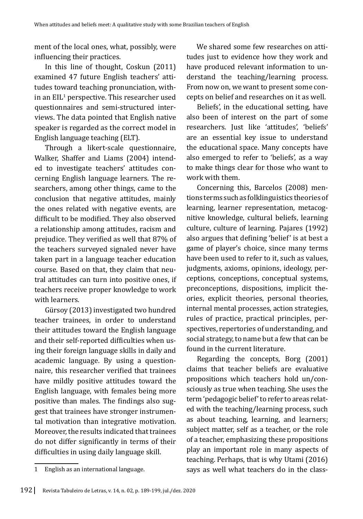ment of the local ones, what, possibly, were influencing their practices.

In this line of thought, Coskun (2011) examined 47 future English teachers' attitudes toward teaching pronunciation, within an  $\mathrm{EIL}^1$  perspective. This researcher used questionnaires and semi-structured interviews. The data pointed that English native speaker is regarded as the correct model in English language teaching (ELT).

Through a likert-scale questionnaire, Walker, Shaffer and Liams (2004) intended to investigate teachers' attitudes concerning English language learners. The researchers, among other things, came to the conclusion that negative attitudes, mainly the ones related with negative events, are difficult to be modified. They also observed a relationship among attitudes, racism and prejudice. They verified as well that 87% of the teachers surveyed signaled never have taken part in a language teacher education course. Based on that, they claim that neutral attitudes can turn into positive ones, if teachers receive proper knowledge to work with learners.

Gürsoy (2013) investigated two hundred teacher trainees, in order to understand their attitudes toward the English language and their self-reported difficulties when using their foreign language skills in daily and academic language. By using a questionnaire, this researcher verified that trainees have mildly positive attitudes toward the English language, with females being more positive than males. The findings also suggest that trainees have stronger instrumental motivation than integrative motivation. Moreover, the results indicated that trainees do not differ significantly in terms of their difficulties in using daily language skill.

Beliefs', in the educational setting, have also been of interest on the part of some researchers. Just like 'attitudes', 'beliefs' are an essential key issue to understand the educational space. Many concepts have also emerged to refer to 'beliefs', as a way to make things clear for those who want to work with them.

Concerning this, Barcelos (2008) mentions terms such as folklinguistics theories of learning, learner representation, metacognitive knowledge, cultural beliefs, learning culture, culture of learning. Pajares (1992) also argues that defining 'belief' is at best a game of player's choice, since many terms have been used to refer to it, such as values, judgments, axioms, opinions, ideology, perceptions, conceptions, conceptual systems, preconceptions, dispositions, implicit theories, explicit theories, personal theories, internal mental processes, action strategies, rules of practice, practical principles, perspectives, repertories of understanding, and social strategy, to name but a few that can be found in the current literature.

Regarding the concepts, Borg (2001) claims that teacher beliefs are evaluative propositions which teachers hold un/consciously as true when teaching. She uses the term 'pedagogic belief' to refer to areas related with the teaching/learning process, such as about teaching, learning, and learners; subject matter, self as a teacher, or the role of a teacher, emphasizing these propositions play an important role in many aspects of teaching. Perhaps, that is why Utami (2016) says as well what teachers do in the class-

We shared some few researches on attitudes just to evidence how they work and have produced relevant information to understand the teaching/learning process. From now on, we want to present some concepts on belief and researches on it as well.

<sup>1</sup> English as an international language.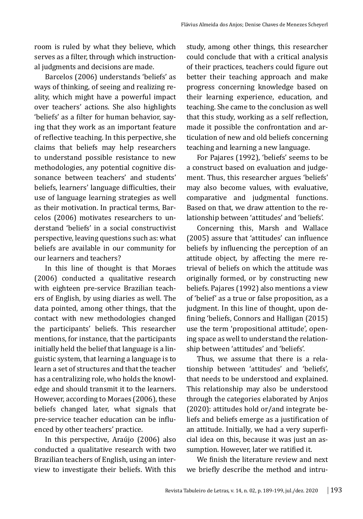room is ruled by what they believe, which serves as a filter, through which instructional judgments and decisions are made.

Barcelos (2006) understands 'beliefs' as ways of thinking, of seeing and realizing reality, which might have a powerful impact over teachers' actions. She also highlights 'beliefs' as a filter for human behavior, saying that they work as an important feature of reflective teaching. In this perpective, she claims that beliefs may help researchers to understand possible resistance to new methodologies, any potential cognitive dissonance between teachers' and students' beliefs, learners' language difficulties, their use of language learning strategies as well as their motivation. In practical terms, Barcelos (2006) motivates researchers to understand 'beliefs' in a social constructivist perspective, leaving questions such as: what beliefs are available in our community for our learners and teachers?

In this line of thought is that Moraes (2006) conducted a qualitative research with eighteen pre-service Brazilian teachers of English, by using diaries as well. The data pointed, among other things, that the contact with new methodologies changed the participants' beliefs. This researcher mentions, for instance, that the participants initially held the belief that language is a linguistic system, that learning a language is to learn a set of structures and that the teacher has a centralizing role, who holds the knowledge and should transmit it to the learners. However, according to Moraes (2006), these beliefs changed later, what signals that pre-service teacher education can be influenced by other teachers' practice.

In this perspective, Araújo (2006) also conducted a qualitative research with two Brazilian teachers of English, using an interview to investigate their beliefs. With this study, among other things, this researcher could conclude that with a critical analysis of their practices, teachers could figure out better their teaching approach and make progress concerning knowledge based on their learning experience, education, and teaching. She came to the conclusion as well that this study, working as a self reflection, made it possible the confrontation and articulation of new and old beliefs concerning teaching and learning a new language.

For Pajares (1992), 'beliefs' seems to be a construct based on evaluation and judgement. Thus, this researcher argues 'beliefs' may also become values, with evaluative, comparative and judgmental functions. Based on that, we draw attention to the relationship between 'attitudes' and 'beliefs'.

Concerning this, Marsh and Wallace (2005) assure that 'attitudes' can influence beliefs by influencing the perception of an attitude object, by affecting the mere retrieval of beliefs on which the attitude was originally formed, or by constructing new beliefs. Pajares (1992) also mentions a view of 'belief' as a true or false proposition, as a judgment. In this line of thought, upon defining 'beliefs, Connors and Halligan (2015) use the term 'propositional attitude', opening space as well to understand the relationship between 'attitudes' and 'beliefs'.

Thus, we assume that there is a relationship between 'attitudes' and 'beliefs', that needs to be understood and explained. This relationship may also be understood through the categories elaborated by Anjos (2020): attitudes hold or/and integrate beliefs and beliefs emerge as a justification of an attitude. Initially, we had a very superficial idea on this, because it was just an assumption. However, later we ratified it.

We finish the literature review and next we briefly describe the method and intru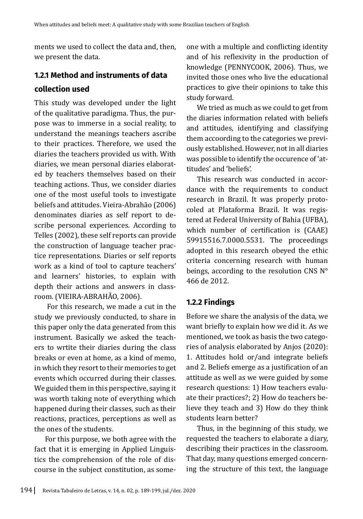ments we used to collect the data and, then, we present the data.

## **1.2.1 Method and instruments of data**

## **collection used**

This study was developed under the light of the qualitative paradigma. Thus, the purpose was to immerse in a social reality, to understand the meanings teachers ascribe to their practices. Therefore, we used the diaries the teachers provided us with. With diaries, we mean personal diaries elaborated by teachers themselves based on their teaching actions. Thus, we consider diaries one of the most useful tools to investigate beliefs and attitudes. Vieira-Abrahão (2006) denominates diaries as self report to describe personal experiences. According to Telles (2002), these self reports can provide the construction of language teacher practice representations. Diaries or self reports work as a kind of tool to capture teachers' and learners' histories, to explain with depth their actions and answers in classroom. (VIEIRA-ABRAHÃO, 2006).

 For this research, we made a cut in the study we previously conducted, to share in this paper only the data generated from this instrument. Basically we asked the teachers to wrtite their diaries during the class breaks or even at home, as a kind of memo, in which they resort to their memories to get events which occurred during their classes. We guided them in this perspective, saying it was worth taking note of everything which happened during their classes, such as their reactions, practices, perceptions as well as the ones of the students.

For this purpose, we both agree with the fact that it is emerging in Applied Linguistics the comprehension of the role of discourse in the subject constitution, as some-

one with a multiple and conflicting identity and of his reflexivity in the production of knowledge (PENNYCOOK, 2006). Thus, we invited those ones who live the educational practices to give their opinions to take this study forward.

We tried as much as we could to get from the diaries information related with beliefs and attitudes, identifying and classifying them accoording to the categories we previously established. However, not in all diaries was possible to identify the occurence of 'attitudes' and 'beliefs'.

This research was conducted in accordance with the requirements to conduct research in Brazil. It was properly protocoled at Plataforma Brazil. It was registered at Federal University of Bahia (UFBA), which number of certification is (CAAE) 59915516.7.0000.5531. The proceedings adopted in this research obeyed the ethic criteria concerning research with human beings, according to the resolution CNS N° 466 de 2012.

## **1.2.2 Findings**

Before we share the analysis of the data, we want briefly to explain how we did it. As we mentioned, we took as basis the two categories of analysis elaborated by Anjos (2020): 1. Attitudes hold or/and integrate beliefs and 2. Beliefs emerge as a justification of an attitude as well as we were guided by some research questions: 1) How teachers evaluate their practices?; 2) How do teachers believe they teach and 3) How do they think students learn better?

Thus, in the beginning of this study, we requested the teachers to elaborate a diary, describing their practices in the classroom. That day, many questions emerged concerning the structure of this text, the language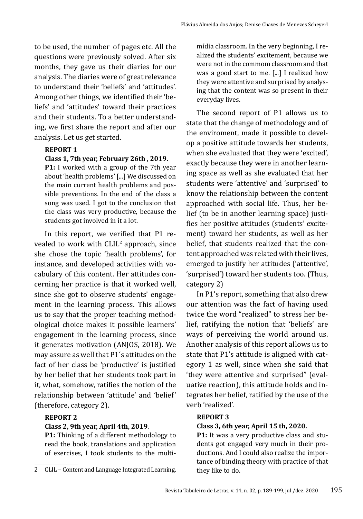to be used, the number of pages etc. All the questions were previously solved. After six months, they gave us their diaries for our analysis. The diaries were of great relevance to understand their 'beliefs' and 'attitudes'. Among other things, we identified their 'beliefs' and 'attitudes' toward their practices and their students. To a better understanding, we first share the report and after our analysis. Let us get started.

#### **REPORT 1**

#### **Class 1, 7th year, February 26th , 2019.**

**P1:** I worked with a group of the 7th year about 'health problems' [...] We discussed on the main current health problems and possible preventions. In the end of the class a song was used. I got to the conclusion that the class was very productive, because the students got involved in it a lot.

In this report, we verified that P1 revealed to work with CLIL<sup>2</sup> approach, since she chose the topic 'health problems', for instance, and developed activities with vocabulary of this content. Her attitudes concerning her practice is that it worked well, since she got to observe students' engagement in the learning process. This allows us to say that the proper teaching methodological choice makes it possible learners' engagement in the learning process, since it generates motivation (ANJOS, 2018). We may assure as well that P1´s attitudes on the fact of her class be 'productive' is justified by her belief that her students took part in it, what, somehow, ratifies the notion of the relationship between 'attitude' and 'belief' (therefore, category 2).

#### **REPORT 2**

#### **Class 2, 9th year, April 4th, 2019**.

**P1:** Thinking of a different methodology to read the book, translations and application of exercises, I took students to the multimídia classroom. In the very beginning, I realized the students' excitement, because we were not in the commom classroom and that was a good start to me. [...] I realized how they were attentive and surprised by analysing that the content was so present in their everyday lives.

The second report of P1 allows us to state that the change of methodology and of the enviroment, made it possible to develop a positive attitude towards her students, when she evaluated that they were 'excited', exactly because they were in another learning space as well as she evaluated that her students were 'attentive' and 'surprised' to know the relationship between the content approached with social life. Thus, her belief (to be in another learning space) justifies her positive attitudes (students' excitement) toward her students, as well as her belief, that students realized that the content approached was related with their lives, emerged to justify her attitudes ('attentive', 'surprised') toward her students too. (Thus, category 2)

In P1's report, something that also drew our attention was the fact of having used twice the word "realized" to stress her belief, ratifying the notion that 'beliefs' are ways of perceiving the world around us. Another analysis of this report allows us to state that P1's attitude is aligned with category 1 as well, since when she said that 'they were attentive and surprised" (evaluative reaction), this attitude holds and integrates her belief, ratified by the use of the verb 'realized'.

#### **REPORT 3**

#### **Class 3, 6th year, April 15 th, 2020.**

**P1:** It was a very productive class and students got engaged very much in their productions. And I could also realize the importance of binding theory with practice of that they like to do.

<sup>2</sup> CLIL – Content and Language Integrated Learning.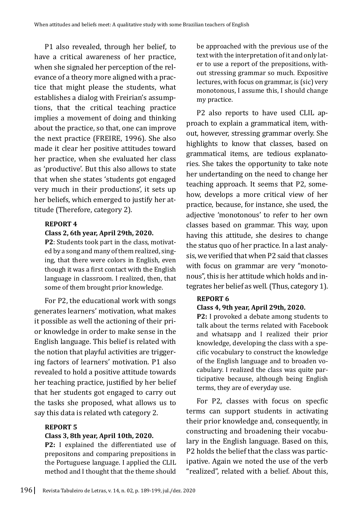P1 also revealed, through her belief, to have a critical awareness of her practice, when she signaled her perception of the relevance of a theory more aligned with a practice that might please the students, what establishes a dialog with Freirian's assumptions, that the critical teaching practice implies a movement of doing and thinking about the practice, so that, one can improve the next practice (FREIRE, 1996). She also made it clear her positive attitudes toward her practice, when she evaluated her class as 'productive'. But this also allows to state that when she states 'students got engaged very much in their productions', it sets up her beliefs, which emerged to justify her attitude (Therefore, category 2).

#### **REPORT 4**

#### **Class 2, 6th year, April 29th, 2020.**

**P2**: Students took part in the class, motivated by a song and many of them realized, singing, that there were colors in English, even though it was a first contact with the English language in classroom. I realized, then, that some of them brought prior knowledge.

For P2, the educational work with songs generates learners' motivation, what makes it possible as well the actioning of their prior knowledge in order to make sense in the English language. This belief is related with the notion that playful activities are triggering factors of learners' motivation. P1 also revealed to hold a positive attitude towards her teaching practice, justified by her belief that her students got engaged to carry out the tasks she proposed, what allows us to say this data is related wth category 2.

#### **REPORT 5**

#### **Class 3, 8th year, April 10th, 2020.**

**P2:** I explained the differentiated use of prepositons and comparing prepositions in the Portuguese language. I applied the CLIL method and I thought that the theme should

be approached with the previous use of the text with the interpretation of it and only later to use a report of the prepositions, without stressing grammar so much. Expositive lectures, with focus on grammar, is (sic) very monotonous, I assume this, I should change my practice.

P2 also reports to have used CLIL approach to explain a grammatical item, without, however, stressing grammar overly. She highlights to know that classes, based on grammatical items, are tedious explanatories. She takes the opportunity to take note her undertanding on the need to change her teaching approach. It seems that P2, somehow, develops a more critical view of her practice, because, for instance, she used, the adjective 'monotonous' to refer to her own classes based on grammar. This way, upon having this attitude, she desires to change the status quo of her practice. In a last analysis, we verified that when P2 said that classes with focus on grammar are very "monotonous", this is her attitude which holds and integrates her belief as well. (Thus, category 1).

#### **REPORT 6**

#### **Class 4, 9th year, April 29th, 2020.**

**P2:** I provoked a debate among students to talk about the terms related with Facebook and whatsapp and I realized their prior knowledge, developing the class with a specific vocabulary to construct the knowledge of the English language and to broaden vocabulary. I realized the class was quite participative because, although being English terms, they are of everyday use.

For P2, classes with focus on specfic terms can support students in activating their prior knowledge and, consequently, in constructing and broadening their vocabulary in the English language. Based on this, P2 holds the belief that the class was participative. Again we noted the use of the verb "realized", related with a belief. About this,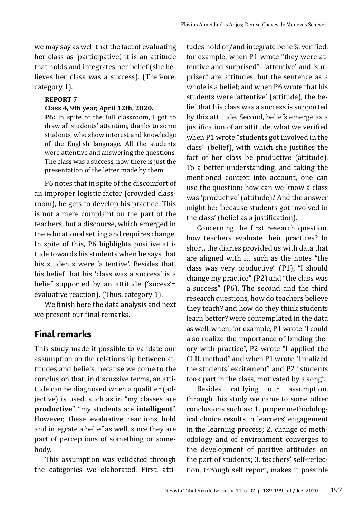we may say as well that the fact of evaluating her class as 'participative', it is an attitude that holds and integrates her belief (she believes her class was a success). (Thefeore, category 1).

#### **REPORT 7**

#### **Class 4, 9th year, April 12th, 2020.**

**P6:** In spite of the full classroom, I got to draw all students' attention, thanks to some students, who show interest and knowledge of the English language. All the students were attentive and answering the questions. The class was a success, now there is just the presentation of the letter made by them.

P6 notes that in spite of the discomfort of an improper logistic factor (crowded classroom), he gets to develop his practice. This is not a mere complaint on the part of the teachers, but a discourse, which emerged in the educational setting and requires change. In spite of this, P6 highlights positive attitude towards his students when he says that his students were 'attentive'. Besides that, his belief that his 'class was a success' is a belief supported by an attitude ('sucess'= evaluative reaction). (Thus, category 1).

We finish here the data analysis and next we present our final remarks.

# **Final remarks**

This study made it possible to validate our assumption on the relationship between attitudes and beliefs, because we come to the conclusion that, in discussive terms, an attitude can be diagnosed when a qualifier (adjective) is used, such as in "my classes are **productive**", "my students are **intelligent**". However, these evaluative reactions hold and integrate a belief as well, since they are part of perceptions of something or somebody.

This assumption was validated through the categories we elaborated. First, atti-

tudes hold or/and integrate beliefs, verified, for example, when P1 wrote "they were attentive and surprised"- 'attentive' and 'surprised' are attitudes, but the sentence as a whole is a belief; and when P6 wrote that his students were 'attentive' (attitude), the belief that his class was a success is supported by this attitude. Second, beliefs emerge as a justification of an attitude, what we verified when P1 wrote "students got involved in the class" (belief), with which she justifies the fact of her class be productive (attitude). To a better understanding, and taking the mentioned context into account, one can use the question: how can we know a class was 'productive' (attitude)? And the answer might be: 'because students got involved in the class' (belief as a justification).

Concerning the first research question, how teachers evaluate their practices? In short, the diaries provided us with data that are aligned with it, such as the notes "the class was very productive" (P1), "I should change my practice" (P2) and "the class was a success" (P6). The second and the third research questions, how do teachers believe they teach? and how do they think students learn better? were contemplated in the data as well, when, for example, P1 wrote "I could also realize the importance of binding theory with practice", P2 wrote "I applied the CLIL method" and when P1 wrote "I realized the students' excitement" and P2 "students took part in the class, motivated by a song".

Besides ratifying our assumption, through this study we came to some other conclusions such as: 1. proper methodological choice results in learners' engagement in the learning process; 2. change of methodology and of environment converges to the development of positive attitudes on the part of students; 3. teachers' self-reflection, through self report, makes it possible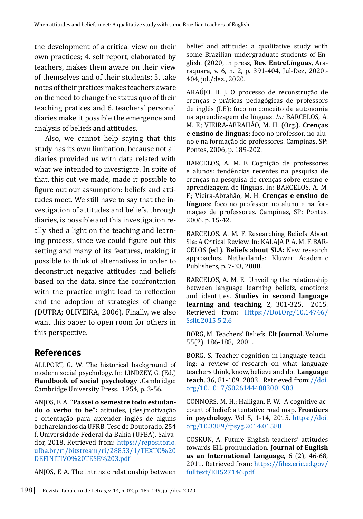the development of a critical view on their own practices; 4. self report, elaborated by teachers, makes them aware on their view of themselves and of their students; 5. take notes of their pratices makes teachers aware on the need to change the status quo of their teaching pratices and 6. teachers' personal diaries make it possible the emergence and analysis of beliefs and attitudes.

Also, we cannot help saying that this study has its own limitation, because not all diaries provided us with data related with what we intended to investigate. In spite of that, this cut we made, made it possible to figure out our assumption: beliefs and attitudes meet. We still have to say that the investigation of attitudes and beliefs, through diaries, is possible and this investigation really shed a light on the teaching and learning process, since we could figure out this setting and many of its features, making it possible to think of alternatives in order to deconstruct negative attitudes and beliefs based on the data, since the confrontation with the practice might lead to reflection and the adoption of strategies of change (DUTRA; OLIVEIRA, 2006). Finally, we also want this paper to open room for others in this perspective.

# **References**

ALLPORT, G. W. The historical background of modern social psychology. In: LINDZEY, G. (Ed.) **Handbook of social psychology** .Cambridge: Cambridge University Press. 1954, p. 3-56.

ANJOS, F. A. **"Passei o semestre todo estudando o verbo to be":** atitudes, (des)motivação e orientação para aprender inglês de alguns bacharelandos da UFRB. Tese de Doutorado. 254 f. Universidade Federal da Bahia (UFBA). Salvador, 2018. Retrieved from: [https://repositorio.](https://repositorio.ufba.br/ri/bitstream/ri/28853/1/TEXTO DEFINITIVO TESE 3.pdf) [ufba.br/ri/bitstream/ri/28853/1/TEXTO%20](https://repositorio.ufba.br/ri/bitstream/ri/28853/1/TEXTO DEFINITIVO TESE 3.pdf) [DEFINITIVO%20TESE%203.pdf](https://repositorio.ufba.br/ri/bitstream/ri/28853/1/TEXTO DEFINITIVO TESE 3.pdf)

ANJOS, F. A. The intrinsic relationship between

belief and attitude: a qualitative study with some Brazilian undergraduate students of English. (2020, in press, **Rev. EntreLínguas**, Araraquara, v. 6, n. 2, p. 391-404, Jul-Dez, 2020.- 404, jul./dez., 2020.

ARAÚJO, D. J. O processo de reconstrução de crenças e práticas pedagógicas de professors de inglês (LE): foco no conceito de autonomia na aprendizagem de línguas. *In:* BARCELOS, A. M. F.; VIEIRA-ABRAHÃO, M. H. (Org.). **Crenças e ensino de línguas:** foco no professor, no aluno e na formação de professores. Campinas, SP: Pontes, 2006, p. 189-202.

BARCELOS, A. M. F. Cognição de professores e alunos: tendências recentes na pesquisa de crenças na pesquisa de crenças sobre ensino e aprendizagem de línguas. In: BARCELOS, A. M. F.; Vieira-Abrahão, M. H. **Crenças e ensino de línguas**: foco no professor, no aluno e na formação de professores. Campinas, SP: Pontes, 2006. p. 15-42.

BARCELOS. A. M. F. Researching Beliefs About Sla: A Critical Review. In: KALAJA P. A. M. F. BAR-CELOS (ed.). **Beliefs about SLA:** New research approaches. Netherlands: Kluwer Academic Publishers, p. 7-33, 2008.

BARCELOS, A. M. F. Unveiling the relationship between language learning beliefs, emotions and identities. **Studies in second language learning and teaching**, 2, 301-325, 2015. Retrieved from: [Https://Doi.Org/10.14746/](https://doi.org/10.14746/ssllt.2015.5.2.6) [Ssllt.2015.5.2.6](https://doi.org/10.14746/ssllt.2015.5.2.6)

BORG, M. Teachers' Beliefs. **Elt Journal***.* Volume 55(2), 186-188, 2001.

BORG, S. Teacher cognition in language teaching: a review of research on what language teachers think, know, believe and do. **Language teach***,* 36, 81-109, 2003. [Retrieved from://doi.](https://doi.org/10.1017/S0261444803001903) [org/10.1017/S0261444803001903](https://doi.org/10.1017/S0261444803001903)

CONNORS, M. H.; Halligan, P. W. A cognitive account of belief: a tentative road map. **Frontiers in psychology**. Vol 5, 1-14, 2015. [https://doi.](https://doi.org/10.3389/fpsyg.2014.01588) [org/10.3389/fpsyg.2014.01588](https://doi.org/10.3389/fpsyg.2014.01588)

COSKUN, A. Future English teachers' attitudes towards EIL pronunciation. **Journal of English as an International Language,** 6 (2), 46-68, 2011. Retrieved from: [https://files.eric.ed.go](https://files.eric.ed.gov/fulltext/ED527146.pdf)v/ [fulltext/ED527146.pdf](https://files.eric.ed.gov/fulltext/ED527146.pdf)